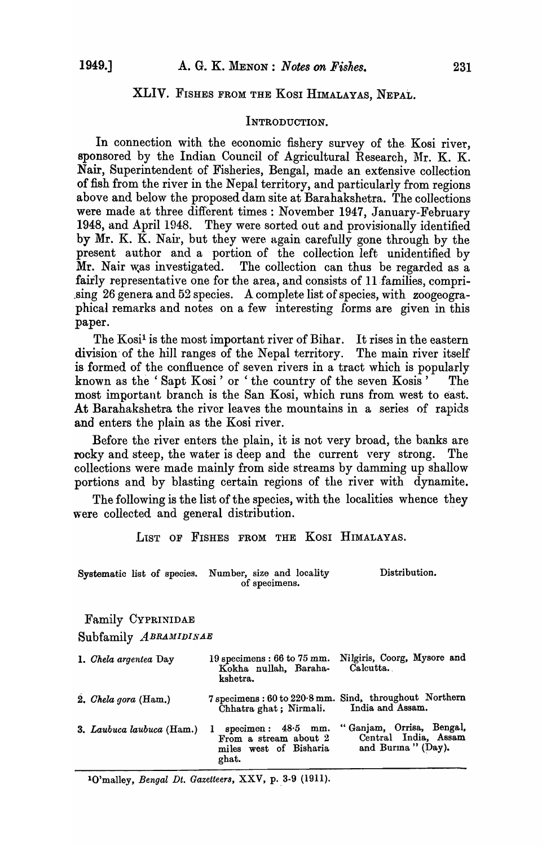## XLIV. FISHES FROM THE KOSI HIMALAYAS, NEPAL.

### INTRODUCTION.

In connection with the economic fishery survey of the Kosi river, sponsored by the Indian Council of Agricultural Research, Mr. K. K. Nair, Superintendent of Fisheries, Bengal, made an extensive collection of fish from the river in the Nepal territory, and particularly from regions above and below the proposed dam site at Barahakshetra. The collections were made at three different times: November 1947, January-February 1948, and April 1948. They were sorted out and provisionally identified by Mr. K. K. Nair, but they were again carefully gone through by the present author and a portion of the collection left unidentified by Mr. Nair was investigated. The collection can thus be regarded as a The collection can thus be regarded as a fairly representative one for the area, and consists of 11 families, compri-.sing 26 genera and 52 species. A complete list of species, with zoogeographical remarks and notes on a few interesting forms are given in this paper.

The Kosi<sup>1</sup> is the most important river of Bihar. It rises in the eastern division of the hill ranges of the Nepal territory. The main river itself is formed of the confluence of seven rivers in a tract which is popularly known as the 'Sapt Kosi' or ' the country of the seven Kosis' The most important branch is the San Kosi, which runs from west to east. At Barahakshetra the river leaves the mountains in a series of rapids and enters the plain as the Kosi river.

Before the river enters the plain, it is not very broad, the banks are rocky and steep, the water is deep and the current very strong. The collections were made mainly from side streams by damming up shallow portions and by blasting certain regions of the river with dynamite.

The following is the list of the species, with the localities whence they were collected and general distribution.

LIST OF FISHES FROM THE KOSI HIMALAYAS.

| Systematic list of species. Number, size and locality | Distribution. |
|-------------------------------------------------------|---------------|
| of specimens.                                         |               |

Family CYPRINIDAE

Subfamily *ABRAMIDINAE* 

| 1. Chela argentea Day     | 19 specimens: $66$ to $75$ mm.<br>Kokha nullah, Baraha-<br>kshetra.                | Nilgiris, Coorg, Mysore and<br>Calcutta.                                   |
|---------------------------|------------------------------------------------------------------------------------|----------------------------------------------------------------------------|
| 2. Chela gora $(Ham.)$    | Chhatra ghat; Nirmali.                                                             | 7 specimens: 60 to 220.8 mm. Sind, throughout Northern<br>India and Assam. |
| 3. Laubuca laubuca (Ham.) | 1 specimen: $48.5$ mm.<br>From a stream about 2<br>miles west of Bisharia<br>ghat. | "Ganjam, Orrisa, Bengal,<br>Central India, Assam<br>and Burma " (Day).     |

<sup>1</sup>O'malley, *Bengal Dt. Gazetteers*, XXV, p. 3-9 (1911).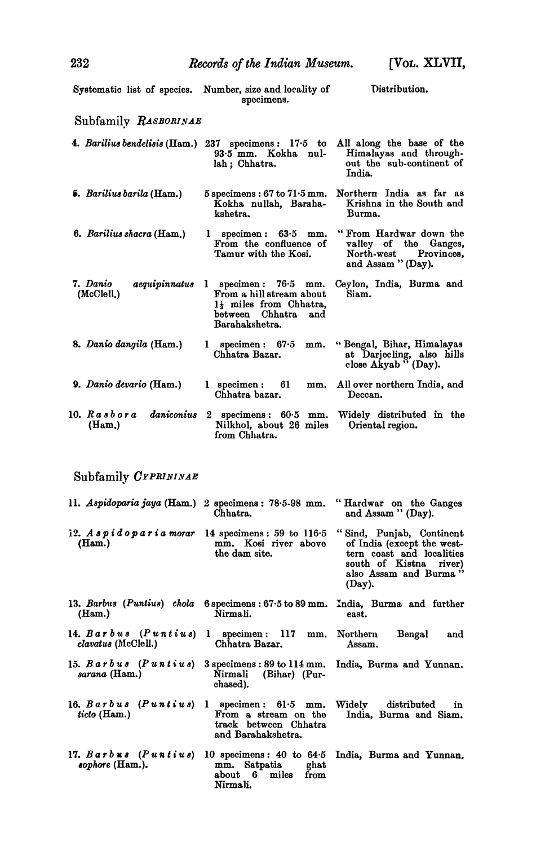|                                                                                                   | Systematic list of species. Number, size and locality of<br>specimens.                                                   | Distribution.                                                                                                                                    |
|---------------------------------------------------------------------------------------------------|--------------------------------------------------------------------------------------------------------------------------|--------------------------------------------------------------------------------------------------------------------------------------------------|
| Subfamily RASBORINAE                                                                              |                                                                                                                          |                                                                                                                                                  |
|                                                                                                   | $93.5$ mm. Kokha nul-<br>lah; Chhatra.                                                                                   | 4. Barilius bendelisis (Ham.) 237 specimens: $17.5$ to All along the base of the<br>Himalayas and through-<br>out the sub-continent of<br>India. |
| <b>5.</b> Barilius barila (Ham.)                                                                  | $5$ specimens : 67 to $71.5$ mm.<br>Kokha nullah, Baraha-<br>kshetra.                                                    | Northern India as far as<br>Krishna in the South and<br>Burma.                                                                                   |
| 6. Barilius shacra (Ham.)                                                                         | 1 specimen: $63.5$ mm.<br>From the confluence of<br>Tamur with the Kosi.                                                 | "From Hardwar down the<br>valley of the Ganges,<br>North-west Provinces,<br>and Assam "(Day).                                                    |
| 7. Danio<br><i>aequipinnatus</i><br>(McC, I).                                                     | 1 specimen: $76.5$ mm.<br>From a hill stream about<br>1} miles from Chhatra,<br>between Chhatra<br>and<br>Barahakshetra. | Ceylon, India, Burma and<br>Siam.                                                                                                                |
| 8. Danio dangila (Ham.)                                                                           | 1 specimen: $67.5$<br>mm.<br>Chhatra Bazar.                                                                              | "Bengal, Bihar, Himalayas<br>at Darjeeling, also hills close Akyab "(Day).                                                                       |
| 9. Danio devario (Ham.)                                                                           | $1$ specimen: $61$<br>Chhatra bazar.                                                                                     | mm. All over northern India, and<br>Deccan.                                                                                                      |
| $10.$ Rasbora<br>daniconius<br>(Ham.)                                                             | Nilkhol, about 26 miles<br>from Chhatra.                                                                                 | 2 specimens: $60.5$ mm. Widely distributed in the<br>Oriental region.                                                                            |
| Subfamily CYPRININAE                                                                              |                                                                                                                          |                                                                                                                                                  |
| 11. Aspidoparia jaya (Ham.) 2 specimens: 78.5-98 mm.                                              | Chhatra.                                                                                                                 | "Hardwar on the Ganges<br>and Assam " (Day).                                                                                                     |
| 12. $A \cdot p \cdot d \cdot p \cdot a \cdot r \cdot a$ morar 14 specimens: 59 to 116.5<br>(Ham.) | mm. Kosi river above<br>the dam site.                                                                                    | "Sind, Punjab, Continent<br>of India (except the west-<br>tern coast and localities<br>south of Kistna river)<br>also Assam and Burma"<br>(Day). |
| 13. Barbus (Puntius) chola<br>(Ham.)                                                              | Nirmali.                                                                                                                 | $6$ specimens: $67.5$ to $89$ mm. India, Burma and further<br>east.                                                                              |
| 14. $Barbus$ ( $Puntius$ )<br><i>clavatus</i> (McClell.)                                          | 1 specimen: 117 mm. Northern<br>Chhatra Bazar,                                                                           | Bengal<br>and<br>Assam.                                                                                                                          |
| 15. $B$ arbus (Puntius)<br>sarana (Ham.)                                                          | $3$ specimens : 89 to $114$ mm.<br>Nirmali (Bihar) (Pur-<br>chased).                                                     | India, Burma and Yunnan.                                                                                                                         |
| 16. $Barbus$ ( <i>Puntius</i> )<br>ticto (Ham.)                                                   | $1$ specimen: $61.5$ mm.<br>From a stream on the<br>track between Chhatra<br>and Barahakshetra.                          | Widely distributed<br>in<br>India, Burma and Siam.                                                                                               |
| 17. $Barbus$ ( $Puntius$ )<br>sophore $(Ham.)$ .                                                  | mm. Satpatia ghat<br>about 6<br>miles<br>from<br>Nirmali.                                                                | 10 specimens: 40 to 64.5 India, Burma and Yunnan.                                                                                                |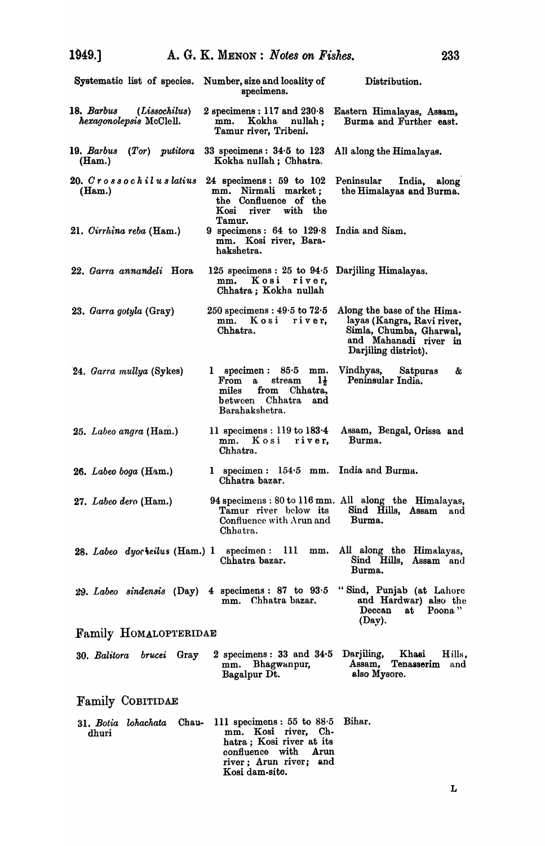| Systematic list of species. Number, size and locality of | specimens.                                                                                                                                           | Distribution.                                                                                                                         |
|----------------------------------------------------------|------------------------------------------------------------------------------------------------------------------------------------------------------|---------------------------------------------------------------------------------------------------------------------------------------|
| 18. Barbus (Lissochilus)<br>hexagonolepsis McClell.      | 2 specimens: $117$ and $230.8$<br>mm. Kokha nullah:<br>Tamur river, Tribeni.                                                                         | Eastern Himalayas, Assam,<br>Burma and Further east.                                                                                  |
| 19. Barbus<br>$(Tor)$ putitora<br>(Ham.)                 | 33 specimens: $34.5$ to 123<br>Kokha nullah; Chhatra.                                                                                                | All along the Himalayas.                                                                                                              |
| 20. Crossochiluslatius<br>(Ham.)                         | 24 specimens: $59$ to $102$<br>mm. Nirmali market:<br>the Confluence of the<br>with the<br>Kosi<br>river<br>Tamur.                                   | Peninsular India, along<br>the Himalayas and Burma.                                                                                   |
| 21. Cirrhina reba (Ham.)                                 | 9 specimens: $64$ to $129.8$<br>mm. Kosi river, Bara-<br>hakshetra.                                                                                  | India and Siam.                                                                                                                       |
| 22. Garra annandeli Hora                                 | 125 specimens: 25 to 94.5 Darjiling Himalayas.<br>mm. Kosi river,<br>Chhatra; Kokha nullah                                                           |                                                                                                                                       |
| 23. Garra gotyla (Gray)                                  | $250$ specimens : $49.5$ to $72.5$<br>mm. Kosi river.<br>Chhatra.                                                                                    | Along the base of the Hima-<br>layas (Kangra, Ravi river,<br>Simla, Chumba, Gharwal,<br>and Mahanadi river in<br>Darjiling district). |
| 24. Garra mullya (Sykes)                                 | $1$ specimen: $85.5$ mm.<br>$1\frac{1}{2}$<br>From a<br>stream<br>from Chhatra,<br>miles<br>between Chhatra<br>and<br>Barahakshetra.                 | Vindhyas,<br>Satpuras<br>&<br>Peninsular India.                                                                                       |
| 25. Labeo angra (Ham.)                                   | mm. Kosi river,<br>Chhatra.                                                                                                                          | 11 specimens : 119 to 183.4 Assam, Bengal, Orissa and<br>Burma.                                                                       |
| 26. Labeo boga (Ham.)                                    | 1 specimen: 154.5 mm. India and Burma.<br>Chhatra bazar.                                                                                             |                                                                                                                                       |
| 27. Labeo dero (Ham.)                                    | Tamur river below its<br>Confluence with Arun and<br>Chhatra.                                                                                        | 94 specimens : 80 to 116 mm. All along the Himalayas,<br>Sind Hills, Assam<br>and<br>Burma.                                           |
| 28. Labeo dyor <i>leilus</i> (Ham.) 1 specimen : 111     | Chhatra bazar.                                                                                                                                       | mm. All along the Himalayas,<br>Sind Hills, Assam and<br>Burma.                                                                       |
| $29.$ Labeo sindensis $(Day)$                            | 4 specimens: $87$ to $93.5$<br>mm. Chhatra bazar.                                                                                                    | "Sind, Punjab (at Lahore<br>and Hardwar) also the<br>at Poona"<br>Deccan<br>(Day).                                                    |
| Family HOMALOPTERIDAE                                    |                                                                                                                                                      |                                                                                                                                       |
| 30. Balitora brucei Gray                                 | 2 specimens: 33 and 34.5 Darjiling, Khasi<br>mm. Bhagwanpur,<br>Bagalpur Dt.                                                                         | Hills,<br>Assam, Tenasserim<br>and<br>also Mysore.                                                                                    |
| <b>Family COBITIDAE</b>                                  |                                                                                                                                                      |                                                                                                                                       |
| Chau-<br>31, Botia lohachata<br>dhuri                    | 111 specimens: $55$ to $88.5$<br>mm. Kosi river, Ch-<br>hatra; Kosi river at its<br>confluence with Arun<br>river; Arun river; and<br>Kosi dam-site. | Bihar.                                                                                                                                |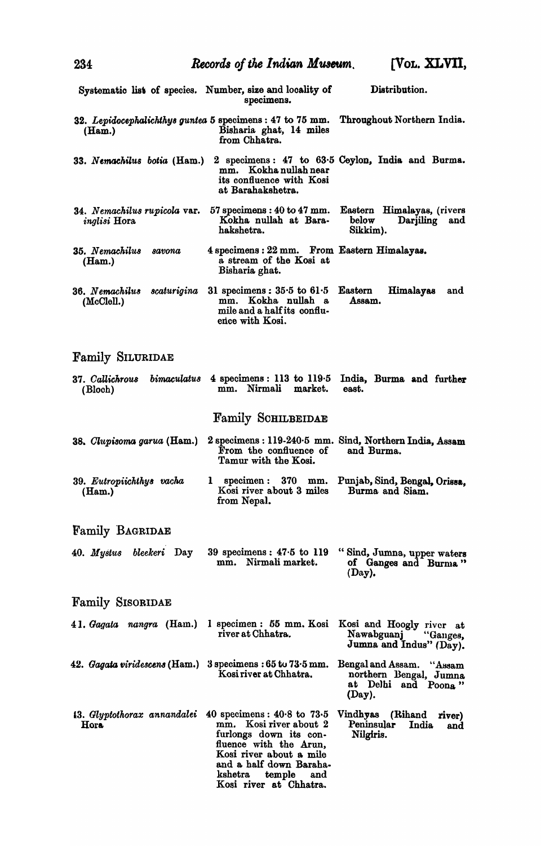| 234                                                 | Records of the Indian Museum.                                                                                                                                                                                               | [VOL. XLVII,                                                                        |
|-----------------------------------------------------|-----------------------------------------------------------------------------------------------------------------------------------------------------------------------------------------------------------------------------|-------------------------------------------------------------------------------------|
|                                                     | Systematic list of species. Number, size and locality of<br>specimens.                                                                                                                                                      | Distribution.                                                                       |
| (Ham.)                                              | 32. Lepidocephalichthys guntea 5 specimens : 47 to 75 mm.<br>Bisharia ghat, 14 miles<br>from Chhatra.                                                                                                                       | Throughout Northern India.                                                          |
| 33. Nemachilus botia (Ham.)                         | mm. Kokha nullah near<br>its confluence with Kosi<br>at Barahakshetra.                                                                                                                                                      | 2 specimens: 47 to 63.5 Ceylon, India and Burma.                                    |
| 34. Nemachilus rupicola var.<br><i>inglisi</i> Hora | $57$ specimens : $40$ to $47$ mm.<br>Kokha nullah at Bara-<br>hakshetra.                                                                                                                                                    | Eastern Himalayas, (rivers<br>below<br>Darjiling<br>and<br>Sikkim).                 |
| 35. Nemachilus<br>savona<br>(Ham.)                  | 4 specimens: 22 mm. From Eastern Himalayas.<br>a stream of the Kosi at<br>Bisharia ghat.                                                                                                                                    |                                                                                     |
| scaturigina<br>36. Nemachilus<br>(McClell.)         | 31 specimens: $35.5$ to $61.5$<br>mm. Kokha nullah a<br>mile and a half its conflu-<br>ence with Kosi.                                                                                                                      | Eastern<br><b>Himalayas</b><br>and<br>Assam.                                        |
| <b>Family SILURIDAE</b>                             |                                                                                                                                                                                                                             |                                                                                     |
| <i>bimaculatus</i><br>37. Callichrous<br>(Bloch)    | 4 specimens: 113 to $119.5$<br>mm. Nirmali market.                                                                                                                                                                          | India, Burma and further<br>east.                                                   |
|                                                     | <b>Family SCHILBEIDAE</b>                                                                                                                                                                                                   |                                                                                     |
| 38. Clupisoma garua (Ham.)                          | From the confluence of<br>Tamur with the Kosi.                                                                                                                                                                              | 2 specimens : 119-240.5 mm. Sind, Northern India, Assam<br>and Burma.               |
| 39. Eutropiichthys vacha<br>(Ham.)                  | 1<br>specimen: 370 mm.<br>Kosi river about 3 miles<br>from Nepal.                                                                                                                                                           | Punjab, Sind, Bengal, Orissa,<br>Burma and Siam.                                    |
| <b>Family BAGRIDAE</b>                              |                                                                                                                                                                                                                             |                                                                                     |
| 40. Mystus bleekeri Day                             | 39 specimens: $47.5$ to 119<br>mm. Nirmali market.                                                                                                                                                                          | "Sind, Jumna, upper waters<br>of Ganges and Burma"<br>(Day).                        |
| <b>Family SISORIDAE</b>                             |                                                                                                                                                                                                                             |                                                                                     |
| 41. Gagata nangra (Ham.)                            | 1 specimen : 55 mm. Kosi<br>river at Chhatra.                                                                                                                                                                               | Kosi and Hoogly river at<br>Nawabguanj<br>"Ganges,<br>Jumna and Indus" (Day).       |
| 42. Gagata viridescens (Ham.)                       | $3$ specimens : $65$ to $73.5$ mm.<br>Kosi river at Chhatra.                                                                                                                                                                | Bengal and Assam. "Assam<br>northern Bengal, Jumna<br>at Delhi and Poona"<br>(Day). |
| 13. Glyptothorax annandalei<br>Hora                 | 40 specimens: $40.8$ to $73.5$<br>Kosi river about 2<br>mm.<br>furlongs down its con-<br>fluence with the Arun,<br>Kosi river about a mile<br>and a half down Baraha-<br>kshetra<br>temple<br>and<br>Kosi river at Chhatra. | Vindhyas (Rihand<br>river)<br>Peninsular<br>India<br>and<br>Nilgiris.               |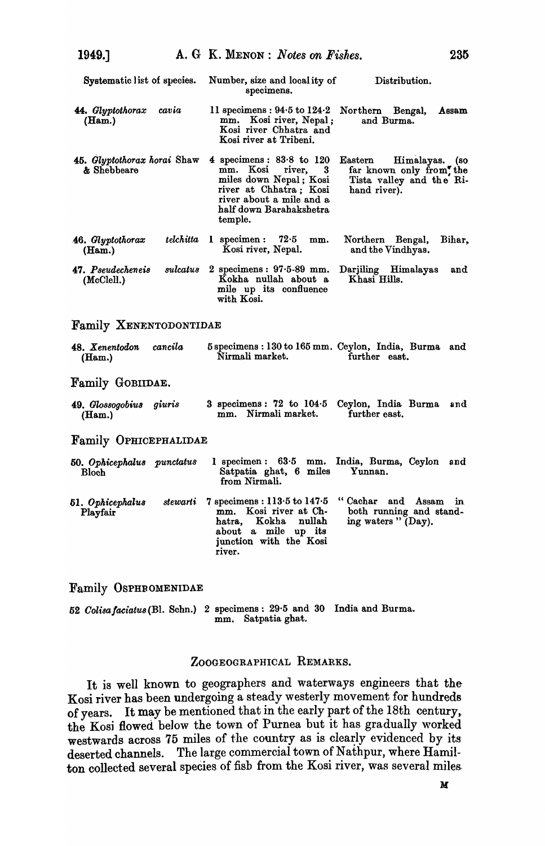| Systematic list of species.                |           | Number, size and locality of<br>Distribution.<br>specimens.                                                                                                                                                                                                                                |
|--------------------------------------------|-----------|--------------------------------------------------------------------------------------------------------------------------------------------------------------------------------------------------------------------------------------------------------------------------------------------|
| 44. Glyptothorax<br>(Ham.)                 | cavia     | 11 specimens : $94.5$ to $124.2$<br>Northern Bengal,<br>Assam<br>mm. Kosi river, Nepal;<br>and Burma.<br>Kosi river Chhatra and<br>Kosi river at Tribeni.                                                                                                                                  |
| 45. Glyptothorax horai Shaw<br>& Shebbeare |           | 4 specimens: $83.8$ to $120$<br>$\mathbf E$ astern<br>Himalayas. (so<br>mm. Kosi river,<br>3<br>far known only from, the<br>miles down Nepal; Kosi<br>Tista valley and the Ri-<br>river at Chhatra; Kosi<br>hand river).<br>river about a mile and a<br>half down Barahakshetra<br>temple. |
| 46. Glyptothorax<br>(Ham.)                 | telchitta | 1 specimen: $72.5$<br>Northern Bengal,<br>Bihar,<br>mm.<br>Kosi river, Nepal.<br>and the Vindhyas.                                                                                                                                                                                         |
| 47. Pseudecheneis<br>(McClell.)            | sulcatus  | 2 specimens: $97.5.89$ mm.<br>Darjiling Himalayas<br>and<br>Kokha nullah about a<br>Khasi Hills.<br>mile up its confluence<br>with Kosi.                                                                                                                                                   |
| <b>Family XENENTODONTIDAE</b>              |           |                                                                                                                                                                                                                                                                                            |
| 48. Xenentodon cancila<br>(Ham.)           |           | 5 specimens : 130 to 165 mm. Ceylon, India, Burma and<br>Nirmali market.<br>further east.                                                                                                                                                                                                  |
| Family GOBIIDAE.                           |           |                                                                                                                                                                                                                                                                                            |
| 49. Glossogobius<br>(Ham.)                 | giuris    | 3 specimens: $72$ to $104.5$<br>Ceylon, India Burma<br>and<br>mm. Nirmali market.<br>further east.                                                                                                                                                                                         |
| <b>Family OPHICEPHALIDAE</b>               |           |                                                                                                                                                                                                                                                                                            |
| 50. Ophicephalus punctatus<br><b>Bloch</b> |           | 1 specimen: 63.5 mm. India, Burma, Ceylon and<br>Satpatia ghat, 6 miles<br>Yunnan.<br>from Nirmali.                                                                                                                                                                                        |
| 51. Ophicephalus<br>Playfair               | stewarti  | "Cachar and Assam<br>$7$ specimens : $113.5$ to $147.5$<br>in.<br>mm. Kosi river at Ch-<br>both running and stand-<br>ing waters "(Day).<br>Kokha<br>nullah<br>hatra,<br>about a mile up its<br>junction with the Kosi<br>river.                                                           |

Family OSPHROMENIDAE

52 *Oolisafaciatus(Bl.* Schn.) 2 specimens: 29·5 and 30 India and Burma. mm. Satpatia ghat.

## ZOOGEOGRAPHICAL REMARKS.

It is well known to geographers and waterways engineers that the Kosi river has been undergoing a steady westerly movement for hundreds of years. It may be mentioned that in the early part of the 18th century,. the Kosi flowed below the town of Purnea but it has gradually worked westwards across 75 miles of the country as is clearly evidenced by its deserted channels. The large commercial town of Nathpur, where Hamilton collected several species of fish from the Kosi river, was several miles-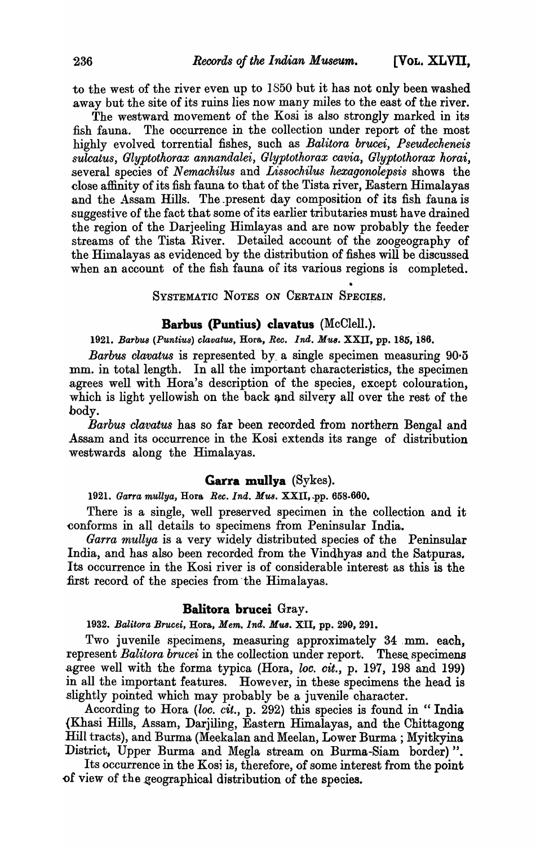to the west of the river even up to 1850 but it has not only been washed away but the site of its ruins lies now many miles to the east of the river.

The westward movement of the Kosi is also strongly marked in its fish fauna. The occurrence in the collection under report of the most highly evolved torrential fishes, such as *Balitora brucei*, *Pseudecheneis*  $s$ ulcatus, Glyptothorax annandalei, Glyptothorax cavia, Glyptothorax horai, several species of *Nemachilus* and *Lissochilus hexagonolepsis* shows the close affinity of its fish fauna to that of the Tista river, Eastern Himalayas and the Assam Hills. The present day composition of its fish fauna is suggestive of the fact that some of its earlier tributaries must have drained the region of the Darjeeling Himlayas and are now probably the feeder streams of the Tista River. Detailed account of the zoogeography of the Himalayas as evidenced by the distribution of fishes will be discussed when an account of the fish fauna of its various regions is completed.

> • SYSTEMATIC NOTES ON CERTAIN SPECIES.

# Barbus (Puntius) clavatus (McClell.).

1921. Barbus (Puntius) clavatus, Hora, *Rec. Ind. Mus.* XXII, pp. 185, 186.

*Barbus clavatus* is represented by a single specimen measuring 90.5 mm. in total length. In all the important characteristics, the specimen agrees well with Hora's description of the species, except colouration, which is light yellowish on the back and silvery all over the rest of the body.

*Barbus 'clat'atu8* has so far been recorded from northern Bengal and Assam and its occurrence in the Kosi extends its range of distribution westwards along the Himalayas.

## Garra mullya  $(Sykes)$ .

*1921. Garra mullya,* Hora *Bee. Ind. Mus.* XXII, ~p. 658-660.

There is a single, well preserved specimen in the collection and it conforms in all details to specimens from Peninsular India.

*Garra mullya* is a very widely distributed species of the Peninsular India, and has also been recorded from the Vindhyas and the Satpuras. Its occurrence in the Kosi river is of considerable interest as this is the first record of the species from the Himalayas.

## BaIitora brucei Gray.

*1932. Balitora Brucei,* Hora, *Mem. Ind. Mus.* XII, pp. 290, 291.

Two juvenile specimens, measuring approximately 34 mm. each, represent *Balitora brucei* in the collection under report. These specimens agree well with the forma typica (Hora, *loc. cit.*, p. 197, 198 and 199) in all the important features. However, in these specimens the head is .slightly pointed which may probably be a juvenile character.

According to Hora *(loc. cit.,* p. 292) this species is found in " India (Khasi Hills, Assam, Darjiling, Eastern Himalayas, and the Chittagong Hill tracts), and Burma (Meekalan and Meelan, Lower Burma; Myitkyina District, Upper Burma and Megla stream on Burma-Siam border)".

Its occurrence in the Kosj is, therefore, of some interest from the point of view of the geographical distribution of the species.